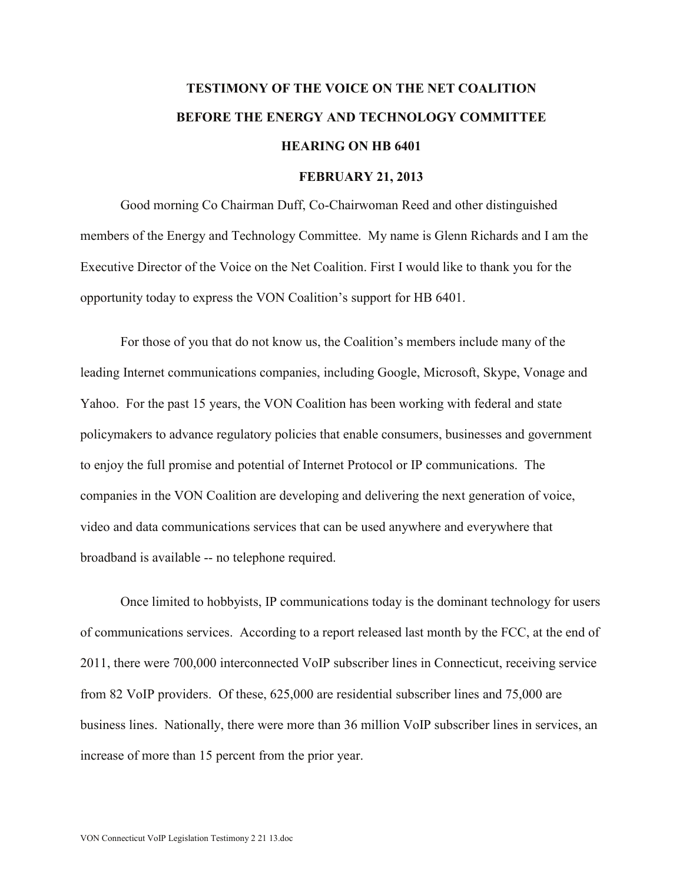## **TESTIMONY OF THE VOICE ON THE NET COALITION BEFORE THE ENERGY AND TECHNOLOGY COMMITTEE HEARING ON HB 6401**

## **FEBRUARY 21, 2013**

Good morning Co Chairman Duff, Co-Chairwoman Reed and other distinguished members of the Energy and Technology Committee. My name is Glenn Richards and I am the Executive Director of the Voice on the Net Coalition. First I would like to thank you for the opportunity today to express the VON Coalition's support for HB 6401.

For those of you that do not know us, the Coalition's members include many of the leading Internet communications companies, including Google, Microsoft, Skype, Vonage and Yahoo. For the past 15 years, the VON Coalition has been working with federal and state policymakers to advance regulatory policies that enable consumers, businesses and government to enjoy the full promise and potential of Internet Protocol or IP communications. The companies in the VON Coalition are developing and delivering the next generation of voice, video and data communications services that can be used anywhere and everywhere that broadband is available -- no telephone required.

Once limited to hobbyists, IP communications today is the dominant technology for users of communications services. According to a report released last month by the FCC, at the end of 2011, there were 700,000 interconnected VoIP subscriber lines in Connecticut, receiving service from 82 VoIP providers. Of these, 625,000 are residential subscriber lines and 75,000 are business lines. Nationally, there were more than 36 million VoIP subscriber lines in services, an increase of more than 15 percent from the prior year.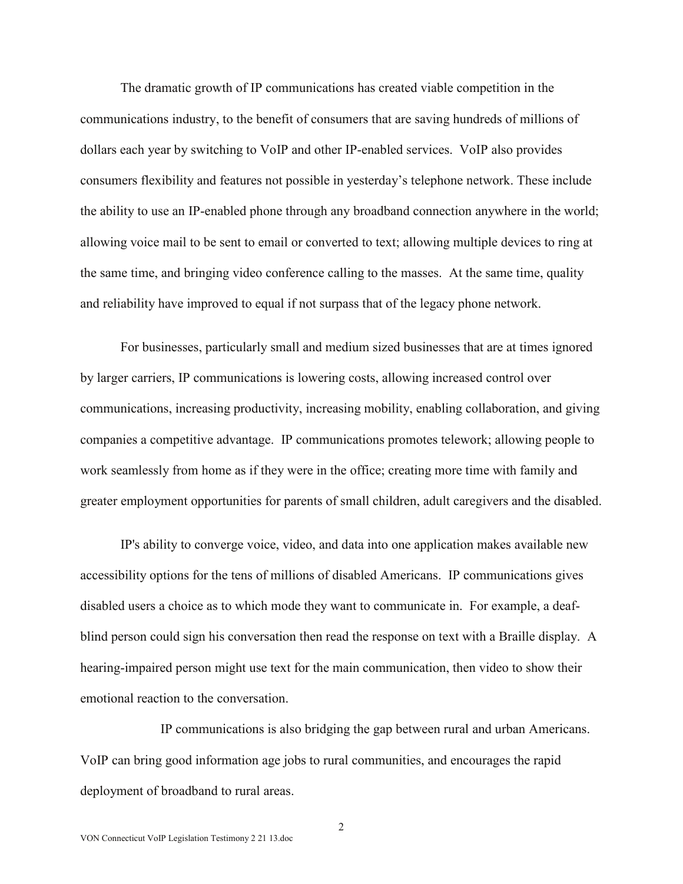The dramatic growth of IP communications has created viable competition in the communications industry, to the benefit of consumers that are saving hundreds of millions of dollars each year by switching to VoIP and other IP-enabled services. VoIP also provides consumers flexibility and features not possible in yesterday's telephone network. These include the ability to use an IP-enabled phone through any broadband connection anywhere in the world; allowing voice mail to be sent to email or converted to text; allowing multiple devices to ring at the same time, and bringing video conference calling to the masses. At the same time, quality and reliability have improved to equal if not surpass that of the legacy phone network.

For businesses, particularly small and medium sized businesses that are at times ignored by larger carriers, IP communications is lowering costs, allowing increased control over communications, increasing productivity, increasing mobility, enabling collaboration, and giving companies a competitive advantage. IP communications promotes telework; allowing people to work seamlessly from home as if they were in the office; creating more time with family and greater employment opportunities for parents of small children, adult caregivers and the disabled.

IP's ability to converge voice, video, and data into one application makes available new accessibility options for the tens of millions of disabled Americans. IP communications gives disabled users a choice as to which mode they want to communicate in. For example, a deafblind person could sign his conversation then read the response on text with a Braille display. A hearing-impaired person might use text for the main communication, then video to show their emotional reaction to the conversation.

IP communications is also bridging the gap between rural and urban Americans. VoIP can bring good information age jobs to rural communities, and encourages the rapid deployment of broadband to rural areas.

2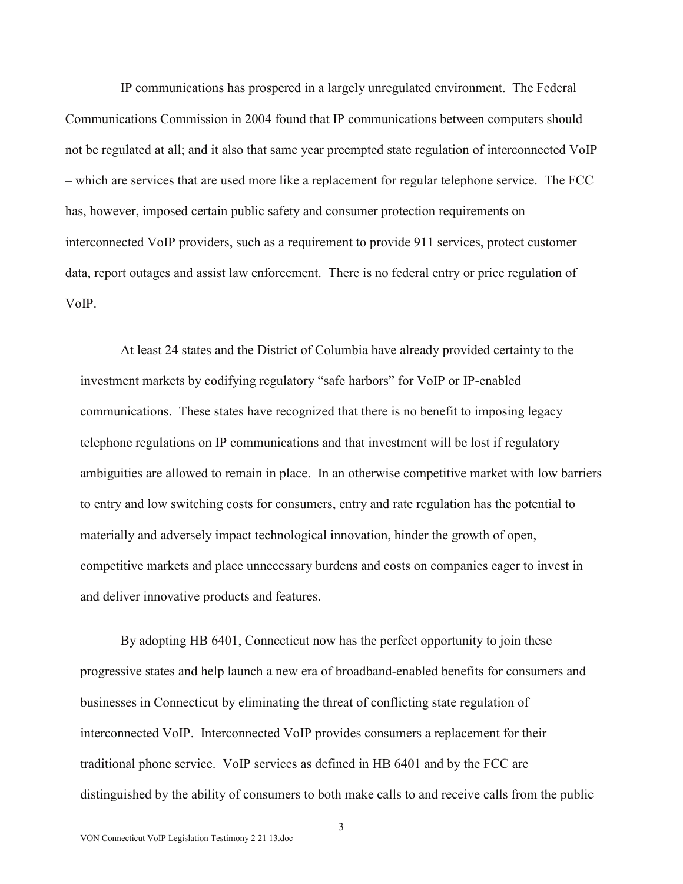IP communications has prospered in a largely unregulated environment. The Federal Communications Commission in 2004 found that IP communications between computers should not be regulated at all; and it also that same year preempted state regulation of interconnected VoIP – which are services that are used more like a replacement for regular telephone service. The FCC has, however, imposed certain public safety and consumer protection requirements on interconnected VoIP providers, such as a requirement to provide 911 services, protect customer data, report outages and assist law enforcement. There is no federal entry or price regulation of VoIP.

At least 24 states and the District of Columbia have already provided certainty to the investment markets by codifying regulatory "safe harbors" for VoIP or IP-enabled communications. These states have recognized that there is no benefit to imposing legacy telephone regulations on IP communications and that investment will be lost if regulatory ambiguities are allowed to remain in place. In an otherwise competitive market with low barriers to entry and low switching costs for consumers, entry and rate regulation has the potential to materially and adversely impact technological innovation, hinder the growth of open, competitive markets and place unnecessary burdens and costs on companies eager to invest in and deliver innovative products and features.

By adopting HB 6401, Connecticut now has the perfect opportunity to join these progressive states and help launch a new era of broadband-enabled benefits for consumers and businesses in Connecticut by eliminating the threat of conflicting state regulation of interconnected VoIP. Interconnected VoIP provides consumers a replacement for their traditional phone service. VoIP services as defined in HB 6401 and by the FCC are distinguished by the ability of consumers to both make calls to and receive calls from the public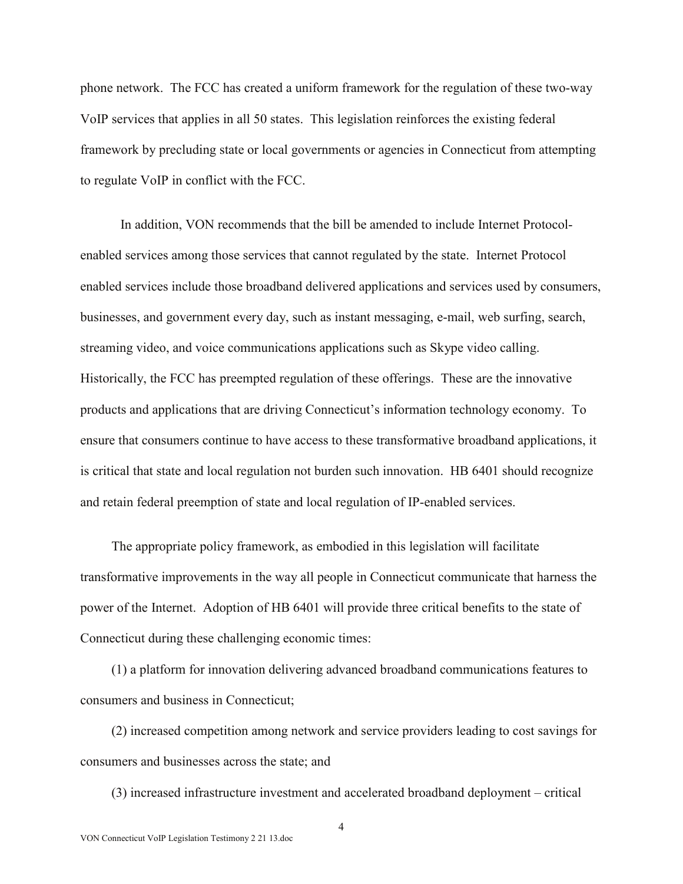phone network. The FCC has created a uniform framework for the regulation of these two-way VoIP services that applies in all 50 states. This legislation reinforces the existing federal framework by precluding state or local governments or agencies in Connecticut from attempting to regulate VoIP in conflict with the FCC.

In addition, VON recommends that the bill be amended to include Internet Protocolenabled services among those services that cannot regulated by the state. Internet Protocol enabled services include those broadband delivered applications and services used by consumers, businesses, and government every day, such as instant messaging, e-mail, web surfing, search, streaming video, and voice communications applications such as Skype video calling. Historically, the FCC has preempted regulation of these offerings. These are the innovative products and applications that are driving Connecticut's information technology economy. To ensure that consumers continue to have access to these transformative broadband applications, it is critical that state and local regulation not burden such innovation. HB 6401 should recognize and retain federal preemption of state and local regulation of IP-enabled services.

The appropriate policy framework, as embodied in this legislation will facilitate transformative improvements in the way all people in Connecticut communicate that harness the power of the Internet. Adoption of HB 6401 will provide three critical benefits to the state of Connecticut during these challenging economic times:

(1) a platform for innovation delivering advanced broadband communications features to consumers and business in Connecticut;

(2) increased competition among network and service providers leading to cost savings for consumers and businesses across the state; and

(3) increased infrastructure investment and accelerated broadband deployment – critical

4